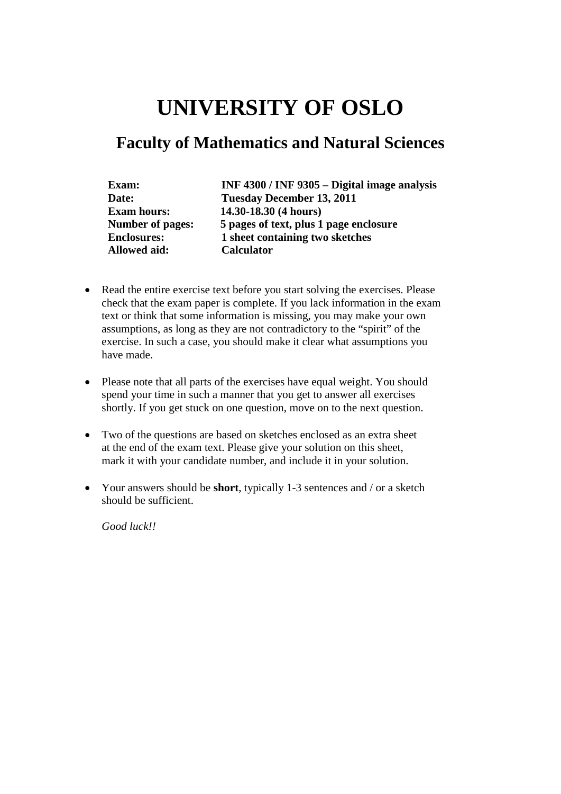# **UNIVERSITY OF OSLO**

## **Faculty of Mathematics and Natural Sciences**

| Exam:                   | INF 4300 / INF 9305 - Digital image analysis |
|-------------------------|----------------------------------------------|
| Date:                   | <b>Tuesday December 13, 2011</b>             |
| <b>Exam hours:</b>      | 14.30-18.30 (4 hours)                        |
| <b>Number of pages:</b> | 5 pages of text, plus 1 page enclosure       |
| <b>Enclosures:</b>      | 1 sheet containing two sketches              |
| <b>Allowed aid:</b>     | <b>Calculator</b>                            |

- Read the entire exercise text before you start solving the exercises. Please check that the exam paper is complete. If you lack information in the exam text or think that some information is missing, you may make your own assumptions, as long as they are not contradictory to the "spirit" of the exercise. In such a case, you should make it clear what assumptions you have made.
- Please note that all parts of the exercises have equal weight. You should spend your time in such a manner that you get to answer all exercises shortly. If you get stuck on one question, move on to the next question.
- Two of the questions are based on sketches enclosed as an extra sheet at the end of the exam text. Please give your solution on this sheet, mark it with your candidate number, and include it in your solution.
- Your answers should be **short**, typically 1-3 sentences and / or a sketch should be sufficient.

*Good luck!!*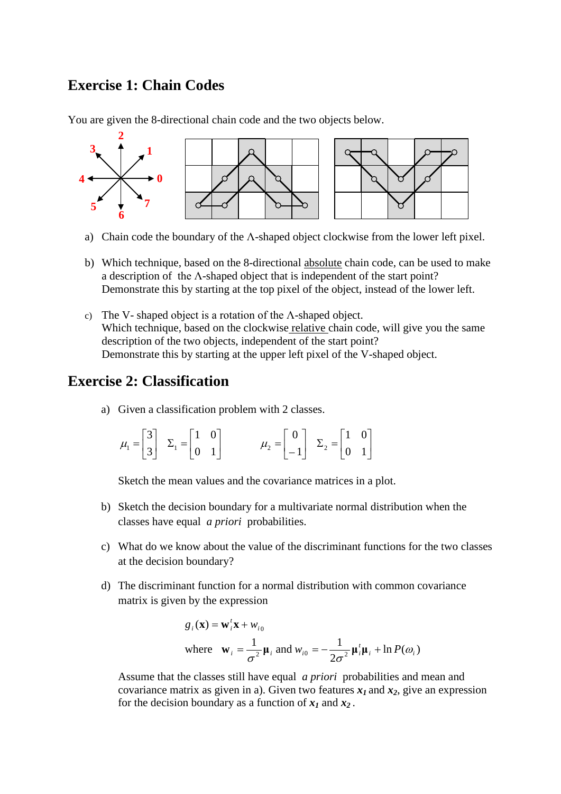#### **Exercise 1: Chain Codes**

You are given the 8-directional chain code and the two objects below.



- a) Chain code the boundary of the  $\Lambda$ -shaped object clockwise from the lower left pixel.
- b) Which technique, based on the 8-directional absolute chain code, can be used to make a description of the Λ-shaped object that is independent of the start point? Demonstrate this by starting at the top pixel of the object, instead of the lower left.
- c) The V- shaped object is a rotation of the Λ-shaped object. Which technique, based on the clockwise relative chain code, will give you the same description of the two objects, independent of the start point? Demonstrate this by starting at the upper left pixel of the V-shaped object.

#### **Exercise 2: Classification**

a) Given a classification problem with 2 classes.

| $\mu_2 = \begin{bmatrix} 0 \\ -1 \end{bmatrix}$ $\Sigma_2 = \begin{bmatrix} 1 & 0 \\ 0 & 1 \end{bmatrix}$<br>$\mu_1 = \begin{bmatrix} 3 \\ 3 \end{bmatrix}$ $\Sigma_1 = \begin{bmatrix} 1 & 0 \\ 0 & 1 \end{bmatrix}$ |  |  |
|-----------------------------------------------------------------------------------------------------------------------------------------------------------------------------------------------------------------------|--|--|
|-----------------------------------------------------------------------------------------------------------------------------------------------------------------------------------------------------------------------|--|--|

Sketch the mean values and the covariance matrices in a plot.

- b) Sketch the decision boundary for a multivariate normal distribution when the classes have equal *a priori* probabilities.
- c) What do we know about the value of the discriminant functions for the two classes at the decision boundary?
- d) The discriminant function for a normal distribution with common covariance matrix is given by the expression

$$
g_i(\mathbf{x}) = \mathbf{w}_i^t \mathbf{x} + w_{i0}
$$
  
where  $\mathbf{w}_i = \frac{1}{\sigma^2} \mathbf{\mu}_i$  and  $w_{i0} = -\frac{1}{2\sigma^2} \mathbf{\mu}_i^t \mathbf{\mu}_i + \ln P(\omega_i)$ 

Assume that the classes still have equal *a priori* probabilities and mean and covariance matrix as given in a). Given two features  $x_1$  and  $x_2$ , give an expression for the decision boundary as a function of  $x_1$  and  $x_2$ .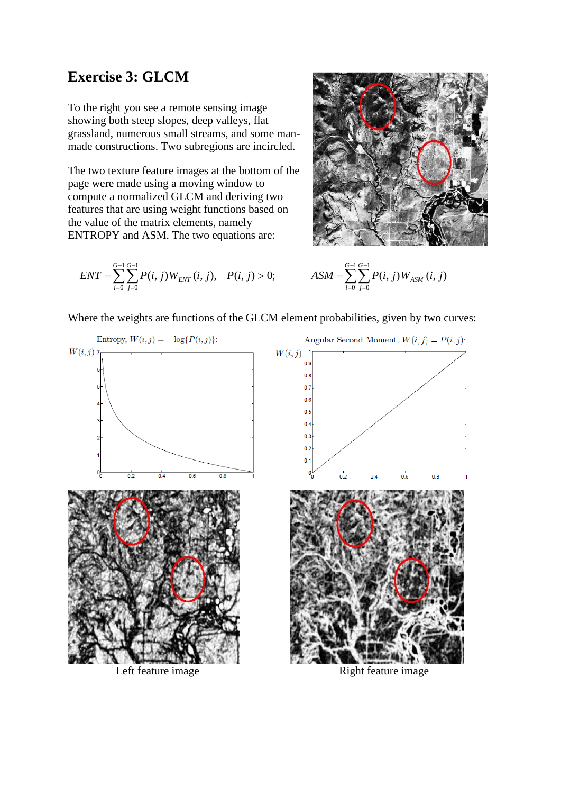#### **Exercise 3: GLCM**

To the right you see a remote sensing image showing both steep slopes, deep valleys, flat grassland, numerous small streams, and some manmade constructions. Two subregions are incircled.

The two texture feature images at the bottom of the page were made using a moving window to compute a normalized GLCM and deriving two features that are using weight functions based on the value of the matrix elements, namely ENTROPY and ASM. The two equations are:

$$
ENT = \sum_{i=0}^{G-1} \sum_{j=0}^{G-1} P(i, j) W_{ENT}(i, j), \quad P(i, j) > 0; \qquad \qquad ASM = \sum_{i=0}^{G-1} \sum_{j=0}^{G-1} P(i, j) W_{ASM}(i, j)
$$



$$
(i, j)W_{ENT}(i, j), \quad P(i, j) > 0; \qquad \qquad ASM = \sum_{i=0}^{G-1} \sum_{j=0}^{G-1} P(i, j)W_{ASM}(i, j)
$$

Where the weights are functions of the GLCM element probabilities, given by two curves:



Left feature image Right feature image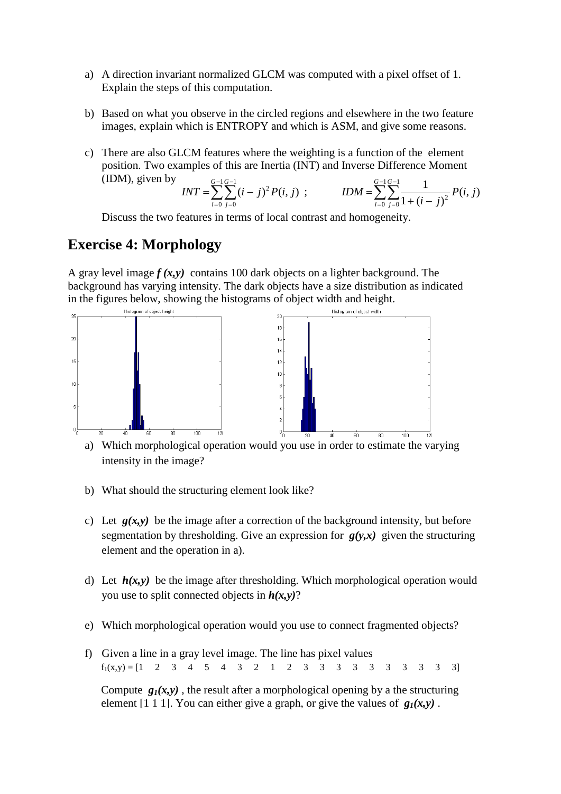- a) A direction invariant normalized GLCM was computed with a pixel offset of 1. Explain the steps of this computation.
- b) Based on what you observe in the circled regions and elsewhere in the two feature images, explain which is ENTROPY and which is ASM, and give some reasons.
- c) There are also GLCM features where the weighting is a function of the element position. Two examples of this are Inertia (INT) and Inverse Difference Moment (IDM), given by

$$
INT = \sum_{i=0}^{G-1} \sum_{j=0}^{G-1} (i-j)^2 P(i,j) ; \qquad IDM = \sum_{i=0}^{G-1} \sum_{j=0}^{G-1} \frac{1}{1 + (i-j)^2} P(i,j)
$$

Discuss the two features in terms of local contrast and homogeneity.

#### **Exercise 4: Morphology**

A gray level image  $f(x, y)$  contains 100 dark objects on a lighter background. The background has varying intensity. The dark objects have a size distribution as indicated in the figures below, showing the histograms of object width and height.



a) Which morphological operation would you use in order to estimate the varying intensity in the image?

- b) What should the structuring element look like?
- c) Let  $g(x,y)$  be the image after a correction of the background intensity, but before segmentation by thresholding. Give an expression for *g(y,x)* given the structuring element and the operation in a).
- d) Let  $h(x, y)$  be the image after thresholding. Which morphological operation would you use to split connected objects in *h(x,y)*?
- e) Which morphological operation would you use to connect fragmented objects?
- f) Given a line in a gray level image. The line has pixel values  $f_1(x,y) = \begin{bmatrix} 1 & 2 & 3 & 4 & 5 & 4 & 3 & 2 & 1 & 2 & 3 & 3 & 3 & 3 & 3 & 3 & 3 & 3 & 3 \end{bmatrix}$

Compute  $g_1(x, y)$ , the result after a morphological opening by a the structuring element [1 1 1]. You can either give a graph, or give the values of  $g_1(x, y)$ .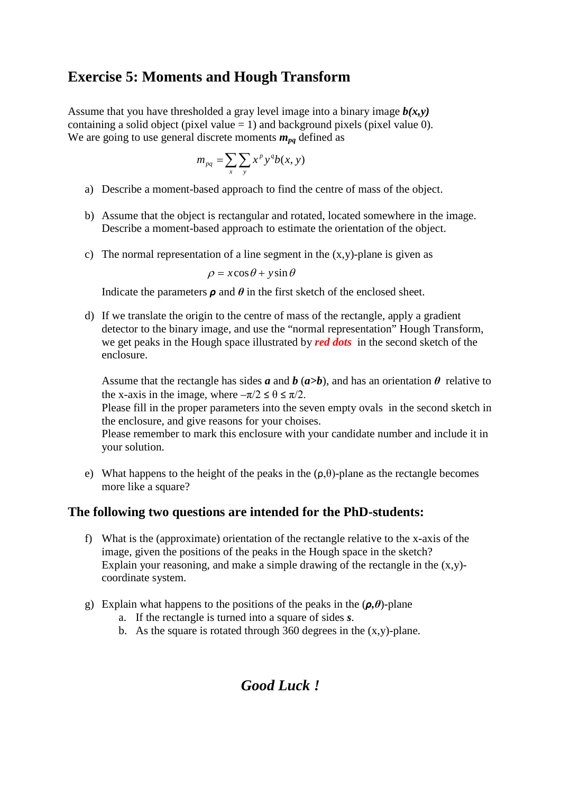#### **Exercise 5: Moments and Hough Transform**

Assume that you have thresholded a gray level image into a binary image  $b(x, y)$ containing a solid object (pixel value  $= 1$ ) and background pixels (pixel value 0). We are going to use general discrete moments  $m_{pq}$  defined as

$$
m_{pq} = \sum_{x} \sum_{y} x^p y^q b(x, y)
$$

- a) Describe a moment-based approach to find the centre of mass of the object.
- b) Assume that the object is rectangular and rotated, located somewhere in the image. Describe a moment-based approach to estimate the orientation of the object.
- c) The normal representation of a line segment in the  $(x,y)$ -plane is given as

 $\rho = x \cos \theta + y \sin \theta$ 

Indicate the parameters  $\rho$  and  $\theta$  in the first sketch of the enclosed sheet.

d) If we translate the origin to the centre of mass of the rectangle, apply a gradient detector to the binary image, and use the "normal representation" Hough Transform, we get peaks in the Hough space illustrated by *red dots* in the second sketch of the enclosure.

Assume that the rectangle has sides *a* and *b* ( $a > b$ ), and has an orientation  $\theta$  relative to the x-axis in the image, where  $-\pi/2 \le \theta \le \pi/2$ .

Please fill in the proper parameters into the seven empty ovals in the second sketch in the enclosure, and give reasons for your choises.

Please remember to mark this enclosure with your candidate number and include it in your solution.

e) What happens to the height of the peaks in the  $(\rho, \theta)$ -plane as the rectangle becomes more like a square?

#### **The following two questions are intended for the PhD-students:**

- f) What is the (approximate) orientation of the rectangle relative to the x-axis of the image, given the positions of the peaks in the Hough space in the sketch? Explain your reasoning, and make a simple drawing of the rectangle in the  $(x,y)$ coordinate system.
- g) Explain what happens to the positions of the peaks in the (*ρ,θ*)-plane
	- a. If the rectangle is turned into a square of sides *s*.
	- b. As the square is rotated through 360 degrees in the  $(x,y)$ -plane.

## *Good Luck !*